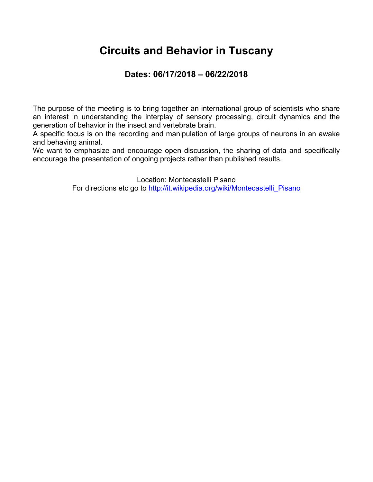### **Circuits and Behavior in Tuscany**

### **Dates: 06/17/2018 – 06/22/2018**

The purpose of the meeting is to bring together an international group of scientists who share an interest in understanding the interplay of sensory processing, circuit dynamics and the generation of behavior in the insect and vertebrate brain.

A specific focus is on the recording and manipulation of large groups of neurons in an awake and behaving animal.

We want to emphasize and encourage open discussion, the sharing of data and specifically encourage the presentation of ongoing projects rather than published results.

Location: Montecastelli Pisano

For directions etc go to http://it.wikipedia.org/wiki/Montecastelli\_Pisano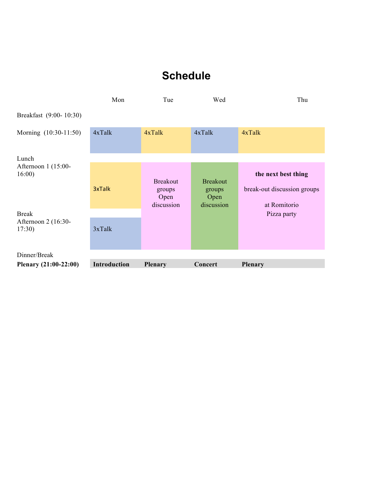# **Schedule**

|                              | Mon          | Tue                                             | Wed                                             | Thu                                                                |
|------------------------------|--------------|-------------------------------------------------|-------------------------------------------------|--------------------------------------------------------------------|
| Breakfast (9:00-10:30)       |              |                                                 |                                                 |                                                                    |
| Morning (10:30-11:50)        | 4xTalk       | $4x$ Talk                                       | $4x$ Talk                                       | $4x$ Talk                                                          |
| Lunch                        |              |                                                 |                                                 |                                                                    |
| Afternoon 1 (15:00-<br>16:00 | 3xTalk       | <b>Breakout</b><br>groups<br>Open<br>discussion | <b>Breakout</b><br>groups<br>Open<br>discussion | the next best thing<br>break-out discussion groups<br>at Romitorio |
| <b>Break</b>                 |              |                                                 |                                                 | Pizza party                                                        |
| Afternoon 2 (16:30-<br>17:30 | $3x$ Talk    |                                                 |                                                 |                                                                    |
| Dinner/Break                 |              |                                                 |                                                 |                                                                    |
| Plenary (21:00-22:00)        | Introduction | <b>Plenary</b>                                  | Concert                                         | <b>Plenary</b>                                                     |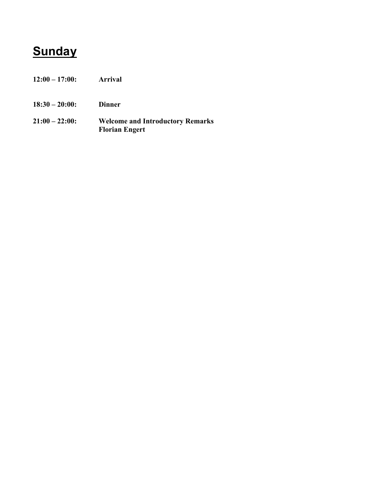# **Sunday**

- **12:00 – 17:00: Arrival**
- **18:30 – 20:00: Dinner**
- **21:00 – 22:00: Welcome and Introductory Remarks Florian Engert**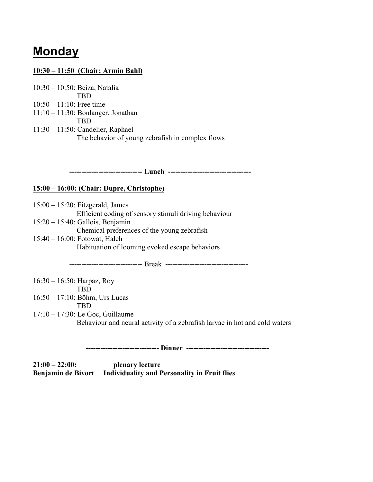## **Monday**

#### **10:30 – 11:50 (Chair: Armin Bahl)**

10:30 – 10:50: Beiza, Natalia TBD 10:50 – 11:10: Free time 11:10 – 11:30: Boulanger, Jonathan TBD 11:30 – 11:50: Candelier, Raphael The behavior of young zebrafish in complex flows

 **------------------------------ Lunch ----------------------------------**

#### **15:00 – 16:00: (Chair: Dupre, Christophe)**

15:00 – 15:20: Fitzgerald, James Efficient coding of sensory stimuli driving behaviour 15:20 – 15:40: Gallois, Benjamin Chemical preferences of the young zebrafish 15:40 – 16:00: Fotowat, Haleh Habituation of looming evoked escape behaviors

 **------------------------------** Break **----------------------------------**

16:30 – 16:50: Harpaz, Roy TBD

16:50 – 17:10: Böhm, Urs Lucas

TBD

17:10 – 17:30: Le Goc, Guillaume Behaviour and neural activity of a zebrafish larvae in hot and cold waters

 **------------------------------ Dinner ----------------------------------**

**21:00 – 22:00: plenary lecture Benjamin de Bivort Individuality and Personality in Fruit flies**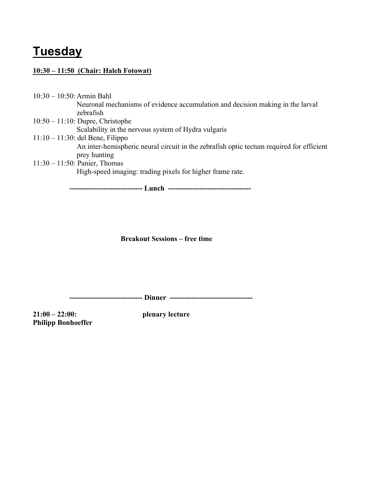# **Tuesday**

#### **10:30 – 11:50 (Chair: Haleh Fotowat)**

10:30 – 10:50: Armin Bahl Neuronal mechanisms of evidence accumulation and decision making in the larval zebrafish 10:50 – 11:10: Dupre, Christophe Scalability in the nervous system of Hydra vulgaris 11:10 – 11:30: del Bene, Filippo An inter-hemispheric neural circuit in the zebrafish optic tectum required for efficient prey hunting 11:30 – 11:50: Panier, Thomas High-speed imaging: trading pixels for higher frame rate.

 **------------------------------ Lunch ----------------------------------**

**Breakout Sessions – free time**

 **------------------------------ Dinner ----------------------------------**

**21:00 – 22:00: plenary lecture Philipp Bonhoeffer**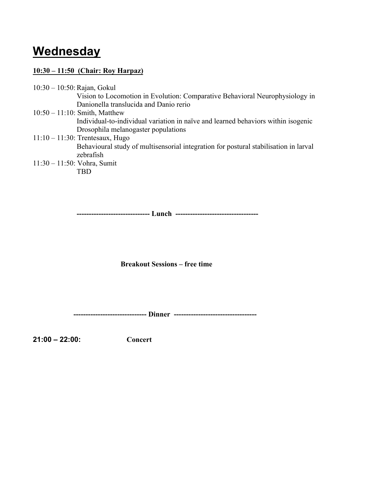## **Wednesday**

#### **10:30 – 11:50 (Chair: Roy Harpaz)**

10:30 - 10:50: Rajan, Gokul

Vision to Locomotion in Evolution: Comparative Behavioral Neurophysiology in Danionella translucida and Danio rerio

- 10:50 11:10: Smith, Matthew Individual-to-individual variation in naïve and learned behaviors within isogenic Drosophila melanogaster populations
- 11:10 11:30: Trentesaux, Hugo Behavioural study of multisensorial integration for postural stabilisation in larval zebrafish 11:30 – 11:50: Vohra, Sumit

TBD

**------------------------------ Lunch ----------------------------------**

**Breakout Sessions – free time**

 **------------------------------ Dinner ----------------------------------**

**21:00 – 22:00: Concert**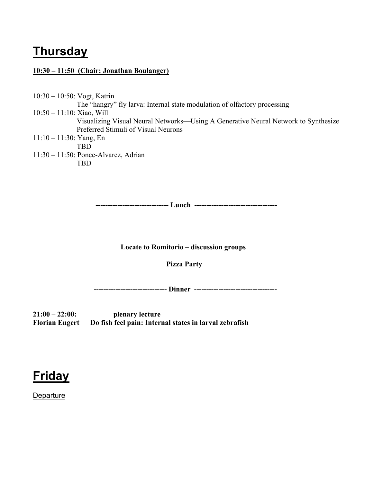## **Thursday**

#### **10:30 – 11:50 (Chair: Jonathan Boulanger)**

10:30 – 10:50: Vogt, Katrin The "hangry" fly larva: Internal state modulation of olfactory processing 10:50 – 11:10: Xiao, Will Visualizing Visual Neural Networks—Using A Generative Neural Network to Synthesize Preferred Stimuli of Visual Neurons 11:10 – 11:30: Yang, En TBD 11:30 – 11:50: Ponce-Alvarez, Adrian

TBD

**------------------------------ Lunch ----------------------------------**

**Locate to Romitorio – discussion groups**

 **Pizza Party**

 **------------------------------ Dinner ----------------------------------**

**21:00 – 22:00: plenary lecture Florian Engert Do fish feel pain: Internal states in larval zebrafish**

# **Friday**

Departure